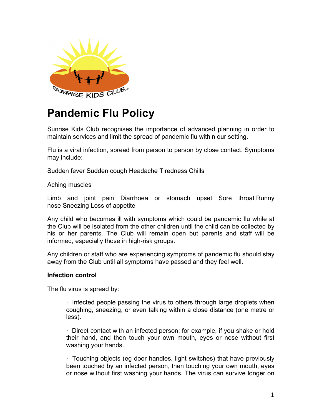

# **Pandemic Flu Policy**

Sunrise Kids Club recognises the importance of advanced planning in order to maintain services and limit the spread of pandemic flu within our setting.

Flu is a viral infection, spread from person to person by close contact. Symptoms may include:

Sudden fever Sudden cough Headache Tiredness Chills

Aching muscles

Limb and joint pain Diarrhoea or stomach upset Sore throat Runny nose Sneezing Loss of appetite

Any child who becomes ill with symptoms which could be pandemic flu while at the Club will be isolated from the other children until the child can be collected by his or her parents. The Club will remain open but parents and staff will be informed, especially those in high-risk groups.

Any children or staff who are experiencing symptoms of pandemic flu should stay away from the Club until all symptoms have passed and they feel well.

## **Infection control**

The flu virus is spread by:

· Infected people passing the virus to others through large droplets when coughing, sneezing, or even talking within a close distance (one metre or less).

· Direct contact with an infected person: for example, if you shake or hold their hand, and then touch your own mouth, eyes or nose without first washing your hands.

· Touching objects (eg door handles, light switches) that have previously been touched by an infected person, then touching your own mouth, eyes or nose without first washing your hands. The virus can survive longer on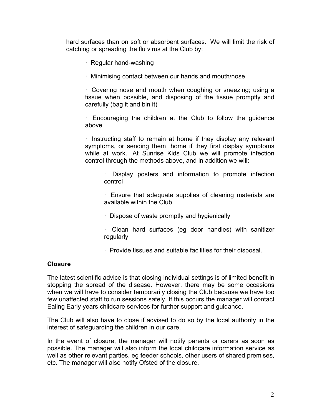hard surfaces than on soft or absorbent surfaces. We will limit the risk of catching or spreading the flu virus at the Club by:

- · Regular hand-washing
- · Minimising contact between our hands and mouth/nose

· Covering nose and mouth when coughing or sneezing; using a tissue when possible, and disposing of the tissue promptly and carefully (bag it and bin it)

· Encouraging the children at the Club to follow the guidance above

· Instructing staff to remain at home if they display any relevant symptoms, or sending them home if they first display symptoms while at work. At Sunrise Kids Club we will promote infection control through the methods above, and in addition we will:

· Display posters and information to promote infection control

· Ensure that adequate supplies of cleaning materials are available within the Club

- · Dispose of waste promptly and hygienically
- · Clean hard surfaces (eg door handles) with sanitizer regularly
- · Provide tissues and suitable facilities for their disposal.

## **Closure**

The latest scientific advice is that closing individual settings is of limited benefit in stopping the spread of the disease. However, there may be some occasions when we will have to consider temporarily closing the Club because we have too few unaffected staff to run sessions safely. If this occurs the manager will contact Ealing Early years childcare services for further support and guidance.

The Club will also have to close if advised to do so by the local authority in the interest of safeguarding the children in our care.

In the event of closure, the manager will notify parents or carers as soon as possible. The manager will also inform the local childcare information service as well as other relevant parties, eg feeder schools, other users of shared premises, etc. The manager will also notify Ofsted of the closure.